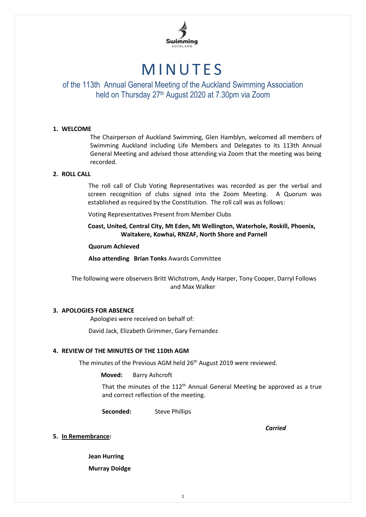

# **MINUTES**

# of the 113th Annual General Meeting of the Auckland Swimming Association held on Thursday 27<sup>th</sup> August 2020 at 7.30pm via Zoom

#### **1. WELCOME**

The Chairperson of Auckland Swimming, Glen Hamblyn, welcomed all members of Swimming Auckland including Life Members and Delegates to its 113th Annual General Meeting and advised those attending via Zoom that the meeting was being recorded.

#### **2. ROLL CALL**

The roll call of Club Voting Representatives was recorded as per the verbal and screen recognition of clubs signed into the Zoom Meeting. A Quorum was established as required by the Constitution. The roll call was as follows:

Voting Representatives Present from Member Clubs

 **Coast, United, Central City, Mt Eden, Mt Wellington, Waterhole, Roskill, Phoenix, Waitakere, Kowhai, RNZAF, North Shore and Parnell**

**Quorum Achieved**

**Also attending Brian Tonks** Awards Committee

The following were observers Britt Wichstrom, Andy Harper, Tony Cooper, Darryl Follows and Max Walker

#### **3. APOLOGIES FOR ABSENCE**

Apologies were received on behalf of:

David Jack, Elizabeth Grimmer, Gary Fernandez

#### **4. REVIEW OF THE MINUTES OF THE 110th AGM**

The minutes of the Previous AGM held 26<sup>th</sup> August 2019 were reviewed.

**Moved:** Barry Ashcroft

That the minutes of the  $112<sup>th</sup>$  Annual General Meeting be approved as a true and correct reflection of the meeting.

Seconded: Steve Phillips

*Carried*

#### **5. In Remembrance:**

**Jean Hurring**

**Murray Doidge**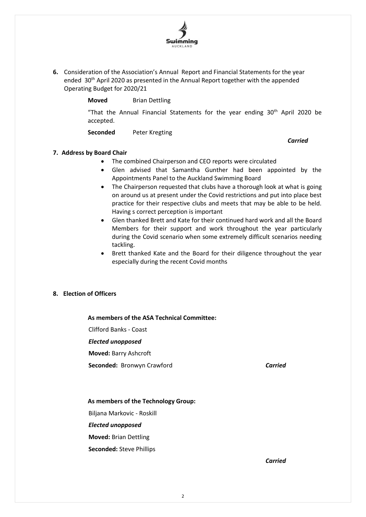

**6.** Consideration of the Association's Annual Report and Financial Statements for the year ended 30<sup>th</sup> April 2020 as presented in the Annual Report together with the appended Operating Budget for 2020/21

**Moved** Brian Dettling

"That the Annual Financial Statements for the year ending  $30<sup>th</sup>$  April 2020 be accepted.

**Seconded** Peter Kregting

*Carried*

# **7. Address by Board Chair**

- The combined Chairperson and CEO reports were circulated
- Glen advised that Samantha Gunther had been appointed by the Appointments Panel to the Auckland Swimming Board
- The Chairperson requested that clubs have a thorough look at what is going on around us at present under the Covid restrictions and put into place best practice for their respective clubs and meets that may be able to be held. Having s correct perception is important
- Glen thanked Brett and Kate for their continued hard work and all the Board Members for their support and work throughout the year particularly during the Covid scenario when some extremely difficult scenarios needing tackling.
- Brett thanked Kate and the Board for their diligence throughout the year especially during the recent Covid months

#### **8. Election of Officers**

 **As members of the ASA Technical Committee:**

Clifford Banks - Coast

*Elected unopposed*

**Moved:** Barry Ashcroft

**Seconded:** Bronwyn Crawford *Carried*

#### **As members of the Technology Group:**

Biljana Markovic - Roskill

*Elected unopposed*

**Moved:** Brian Dettling

**Seconded:** Steve Phillips

*Carried*